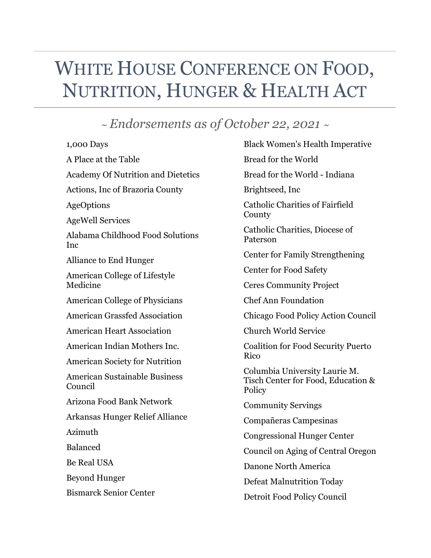## WHITE HOUSE CONFERENCE ON FOOD, NUTRITION, HUNGER & HEALTH ACT

## *~ Endorsements as of October 22, 2021 ~*

| 1,000 Days                                      |
|-------------------------------------------------|
| A Place at the Table                            |
| <b>Academy Of Nutrition and Dietetics</b>       |
| Actions, Inc of Brazoria County                 |
| AgeOptions                                      |
| <b>AgeWell Services</b>                         |
| Alabama Childhood Food Solutions<br>Inc         |
| Alliance to End Hunger                          |
| American College of Lifestyle<br>Medicine       |
| <b>American College of Physicians</b>           |
| <b>American Grassfed Association</b>            |
| <b>American Heart Association</b>               |
| American Indian Mothers Inc.                    |
| <b>American Society for Nutrition</b>           |
| <b>American Sustainable Business</b><br>Council |
| Arizona Food Bank Network                       |
| Arkansas Hunger Relief Alliance                 |
| Azimuth                                         |
| <b>Balanced</b>                                 |
| <b>Be Real USA</b>                              |
| <b>Beyond Hunger</b>                            |
| <b>Bismarck Senior Center</b>                   |
|                                                 |

Black Women's Health Imperative Bread for the World Bread for the World - Indiana Brightseed, Inc Catholic Charities of Fairfield County Catholic Charities, Diocese of Paterson Center for Family Strengthening Center for Food Safety Ceres Community Project Chef Ann Foundation Chicago Food Policy Action Council Church World Service Coalition for Food Security Puerto Rico Columbia University Laurie M. Tisch Center for Food, Education & **Policy** Community Servings Compañeras Campesinas Congressional Hunger Center Council on Aging of Central Oregon Danone North America Defeat Malnutrition Today Detroit Food Policy Council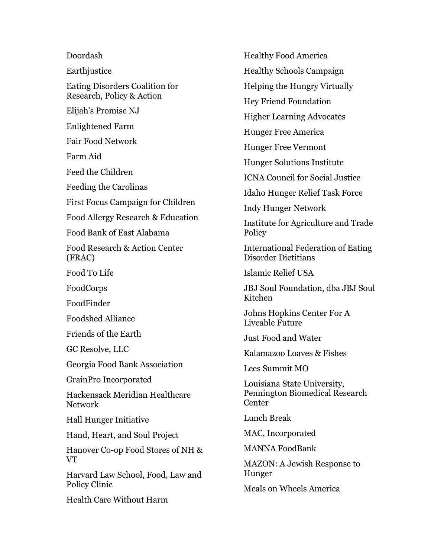Doordash **Earthjustice** Eating Disorders Coalition for Research, Policy & Action Elijah's Promise NJ Enlightened Farm Fair Food Network Farm Aid Feed the Children Feeding the Carolinas First Focus Campaign for Children Food Allergy Research & Education Food Bank of East Alabama Food Research & Action Center (FRAC) Food To Life FoodCorps FoodFinder Foodshed Alliance Friends of the Earth GC Resolve, LLC Georgia Food Bank Association GrainPro Incorporated Hackensack Meridian Healthcare Network Hall Hunger Initiative Hand, Heart, and Soul Project Hanover Co-op Food Stores of NH & VT

Harvard Law School, Food, Law and Policy Clinic

Health Care Without Harm

Healthy Food America Healthy Schools Campaign Helping the Hungry Virtually Hey Friend Foundation Higher Learning Advocates Hunger Free America Hunger Free Vermont Hunger Solutions Institute ICNA Council for Social Justice Idaho Hunger Relief Task Force Indy Hunger Network Institute for Agriculture and Trade **Policy** International Federation of Eating Disorder Dietitians Islamic Relief USA JBJ Soul Foundation, dba JBJ Soul Kitchen Johns Hopkins Center For A Liveable Future Just Food and Water Kalamazoo Loaves & Fishes Lees Summit MO Louisiana State University, Pennington Biomedical Research Center Lunch Break MAC, Incorporated MANNA FoodBank MAZON: A Jewish Response to Hunger Meals on Wheels America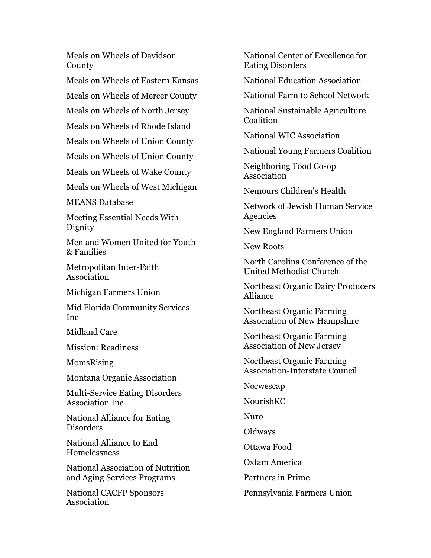Meals on Wheels of Davidson County

Meals on Wheels of Eastern Kansas

Meals on Wheels of Mercer County

Meals on Wheels of North Jersey

Meals on Wheels of Rhode Island

Meals on Wheels of Union County

Meals on Wheels of Union County

Meals on Wheels of Wake County

Meals on Wheels of West Michigan

MEANS Database

Meeting Essential Needs With Dignity

Men and Women United for Youth & Families

Metropolitan Inter-Faith Association

Michigan Farmers Union

Mid Florida Community Services Inc

Midland Care

Mission: Readiness

MomsRising

Montana Organic Association

Multi-Service Eating Disorders Association Inc

National Alliance for Eating Disorders

National Alliance to End Homelessness

National Association of Nutrition and Aging Services Programs

National CACFP Sponsors Association

National Center of Excellence for Eating Disorders

National Education Association

National Farm to School Network

National Sustainable Agriculture **Coalition** 

National WIC Association

National Young Farmers Coalition

Neighboring Food Co-op Association

Nemours Children's Health

Network of Jewish Human Service Agencies

New England Farmers Union

New Roots

North Carolina Conference of the United Methodist Church

Northeast Organic Dairy Producers Alliance

Northeast Organic Farming Association of New Hampshire

Northeast Organic Farming Association of New Jersey

Northeast Organic Farming Association-Interstate Council

Norwescap

NourishKC

Nuro

**Oldways** 

Ottawa Food

Oxfam America

Partners in Prime

Pennsylvania Farmers Union